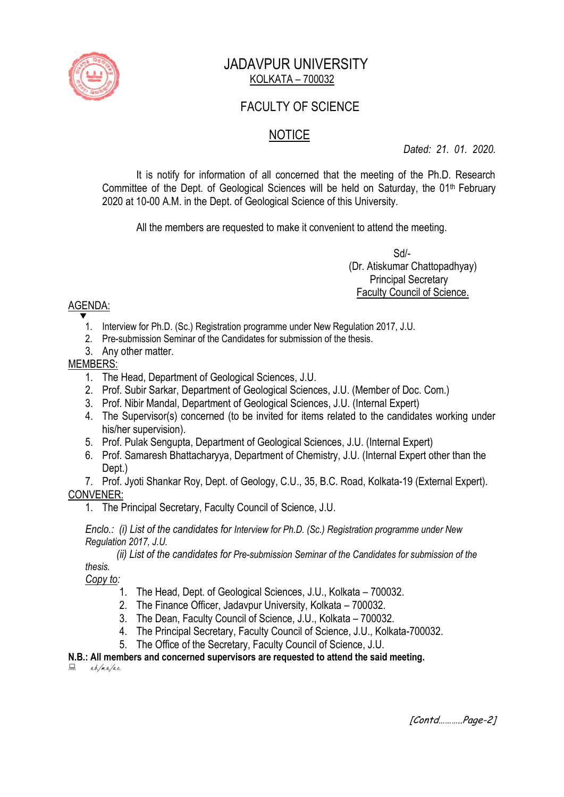

## JADAVPUR UNIVERSITY KOLKATA – 700032

## FACULTY OF SCIENCE

# **NOTICE**

*Dated: 21. 01. 2020.*

It is notify for information of all concerned that the meeting of the Ph.D. Research Committee of the Dept. of Geological Sciences will be held on Saturday, the 01<sup>th</sup> February 2020 at 10-00 A.M. in the Dept. of Geological Science of this University.

All the members are requested to make it convenient to attend the meeting.

 $S$ d/- $S$  (Dr. Atiskumar Chattopadhyay) Principal Secretary Faculty Council of Science.

### AGENDA:

- $\overline{\mathbf{v}}$ 1. Interview for Ph.D. (Sc.) Registration programme under New Regulation 2017, J.U.
	- 2. Pre-submission Seminar of the Candidates for submission of the thesis.
	- 3. Any other matter.

### MEMBERS:

- 1. The Head, Department of Geological Sciences, J.U.
- 2. Prof. Subir Sarkar, Department of Geological Sciences, J.U. (Member of Doc. Com.)
- 3. Prof. Nibir Mandal, Department of Geological Sciences, J.U. (Internal Expert)
- 4. The Supervisor(s) concerned (to be invited for items related to the candidates working under his/her supervision).
- 5. Prof. Pulak Sengupta, Department of Geological Sciences, J.U. (Internal Expert)
- 6. Prof. Samaresh Bhattacharyya, Department of Chemistry, J.U. (Internal Expert other than the Dept.)

7. Prof. Jyoti Shankar Roy, Dept. of Geology, C.U., 35, B.C. Road, Kolkata-19 (External Expert). CONVENER:

1. The Principal Secretary, Faculty Council of Science, J.U.

*Enclo.: (i) List of the candidates for Interview for Ph.D. (Sc.) Registration programme under New Regulation 2017, J.U.*

 *(ii) List of the candidates for Pre-submission Seminar of the Candidates for submission of the thesis.*

*Copy to:* 

- 1. The Head, Dept. of Geological Sciences, J.U., Kolkata 700032.
- 2. The Finance Officer, Jadavpur University, Kolkata 700032.
- 3. The Dean, Faculty Council of Science, J.U., Kolkata 700032.
- 4. The Principal Secretary, Faculty Council of Science, J.U., Kolkata-700032.
- 5. The Office of the Secretary, Faculty Council of Science, J.U.

### **N.B.: All members and concerned supervisors are requested to attend the said meeting.**

 $a.b./m.a./a.c.$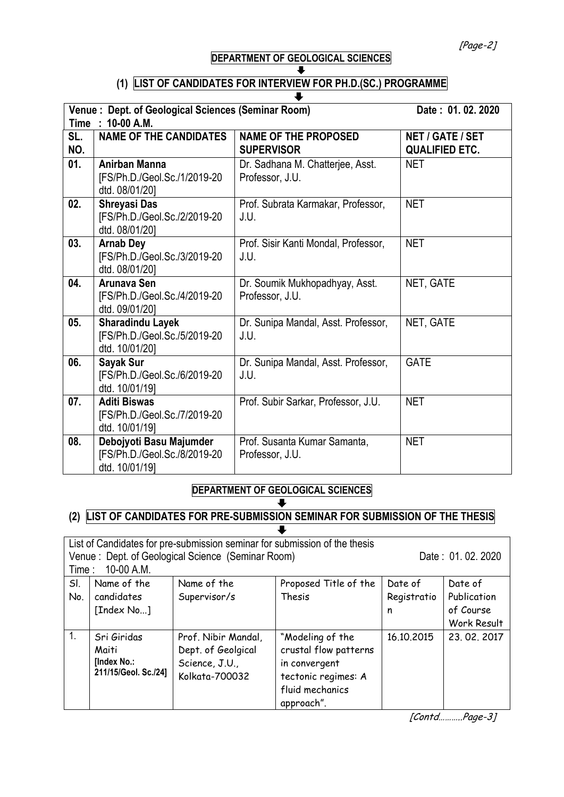[Page-2]

#### **DEPARTMENT OF GEOLOGICAL SCIENCES** J

# **(1) LIST OF CANDIDATES FOR INTERVIEW FOR PH.D.(SC.) PROGRAMME**

| Venue: Dept. of Geological Sciences (Seminar Room)<br>Date: 01.02.2020<br>Time : 10-00 A.M. |                                                                           |                                                     |                                           |  |  |
|---------------------------------------------------------------------------------------------|---------------------------------------------------------------------------|-----------------------------------------------------|-------------------------------------------|--|--|
| SL.<br>NO.                                                                                  | <b>NAME OF THE CANDIDATES</b>                                             | <b>NAME OF THE PROPOSED</b><br><b>SUPERVISOR</b>    | NET / GATE / SET<br><b>QUALIFIED ETC.</b> |  |  |
| 01.                                                                                         | <b>Anirban Manna</b><br>[FS/Ph.D./Geol.Sc./1/2019-20<br>dtd. 08/01/20]    | Dr. Sadhana M. Chatterjee, Asst.<br>Professor, J.U. | <b>NET</b>                                |  |  |
| 02.                                                                                         | <b>Shreyasi Das</b><br>[FS/Ph.D./Geol.Sc./2/2019-20<br>dtd. 08/01/20]     | Prof. Subrata Karmakar, Professor,<br>J.U.          | <b>NET</b>                                |  |  |
| 03.                                                                                         | <b>Arnab Dey</b><br>[FS/Ph.D./Geol.Sc./3/2019-20<br>dtd. 08/01/20]        | Prof. Sisir Kanti Mondal, Professor,<br>J.U.        | <b>NET</b>                                |  |  |
| 04.                                                                                         | Arunava Sen<br>[FS/Ph.D./Geol.Sc./4/2019-20<br>dtd. 09/01/20]             | Dr. Soumik Mukhopadhyay, Asst.<br>Professor, J.U.   | NET, GATE                                 |  |  |
| 05.                                                                                         | <b>Sharadindu Layek</b><br>[FS/Ph.D./Geol.Sc./5/2019-20<br>dtd. 10/01/20] | Dr. Sunipa Mandal, Asst. Professor,<br>J.U.         | NET, GATE                                 |  |  |
| 06.                                                                                         | Sayak Sur<br>[FS/Ph.D./Geol.Sc./6/2019-20<br>dtd. 10/01/19]               | Dr. Sunipa Mandal, Asst. Professor,<br>J.U.         | <b>GATE</b>                               |  |  |
| 07.                                                                                         | <b>Aditi Biswas</b><br>[FS/Ph.D./Geol.Sc./7/2019-20<br>dtd. 10/01/19]     | Prof. Subir Sarkar, Professor, J.U.                 | <b>NET</b>                                |  |  |
| 08.                                                                                         | Debojyoti Basu Majumder<br>[FS/Ph.D./Geol.Sc./8/2019-20<br>dtd. 10/01/19] | Prof. Susanta Kumar Samanta,<br>Professor, J.U.     | <b>NET</b>                                |  |  |

#### **DEPARTMENT OF GEOLOGICAL SCIENCES**  $\overline{\phantom{a}}$

#### **(2) LIST OF CANDIDATES FOR PRE-SUBMISSION SEMINAR FOR SUBMISSION OF THE THESIS**  $\ddot{\phantom{a}}$

| List of Candidates for pre-submission seminar for submission of the thesis |                      |                     |                       |                  |                    |  |  |
|----------------------------------------------------------------------------|----------------------|---------------------|-----------------------|------------------|--------------------|--|--|
| Venue: Dept. of Geological Science (Seminar Room)                          |                      |                     |                       | Date: 01.02.2020 |                    |  |  |
| 10-00 A.M.<br>Time:                                                        |                      |                     |                       |                  |                    |  |  |
| SI.                                                                        | Name of the          | Name of the         | Proposed Title of the | Date of          | Date of            |  |  |
| No.                                                                        | candidates           | Supervisor/s        | Thesis                | Registratio      | Publication        |  |  |
|                                                                            | [Index No]           |                     |                       | n                | of Course          |  |  |
|                                                                            |                      |                     |                       |                  | <b>Work Result</b> |  |  |
| 1.                                                                         | Sri Giridas          | Prof. Nibir Mandal, | "Modeling of the      | 16.10.2015       | 23, 02, 2017       |  |  |
|                                                                            | Maiti                | Dept. of Geolgical  | crustal flow patterns |                  |                    |  |  |
|                                                                            | [Index No.:          | Science, J.U.,      | in convergent         |                  |                    |  |  |
|                                                                            | 211/15/Geol. Sc./24] | Kolkata-700032      | tectonic regimes: A   |                  |                    |  |  |
|                                                                            |                      |                     | fluid mechanics       |                  |                    |  |  |
|                                                                            |                      |                     | approach".            |                  |                    |  |  |

[Contd………..Page-3]